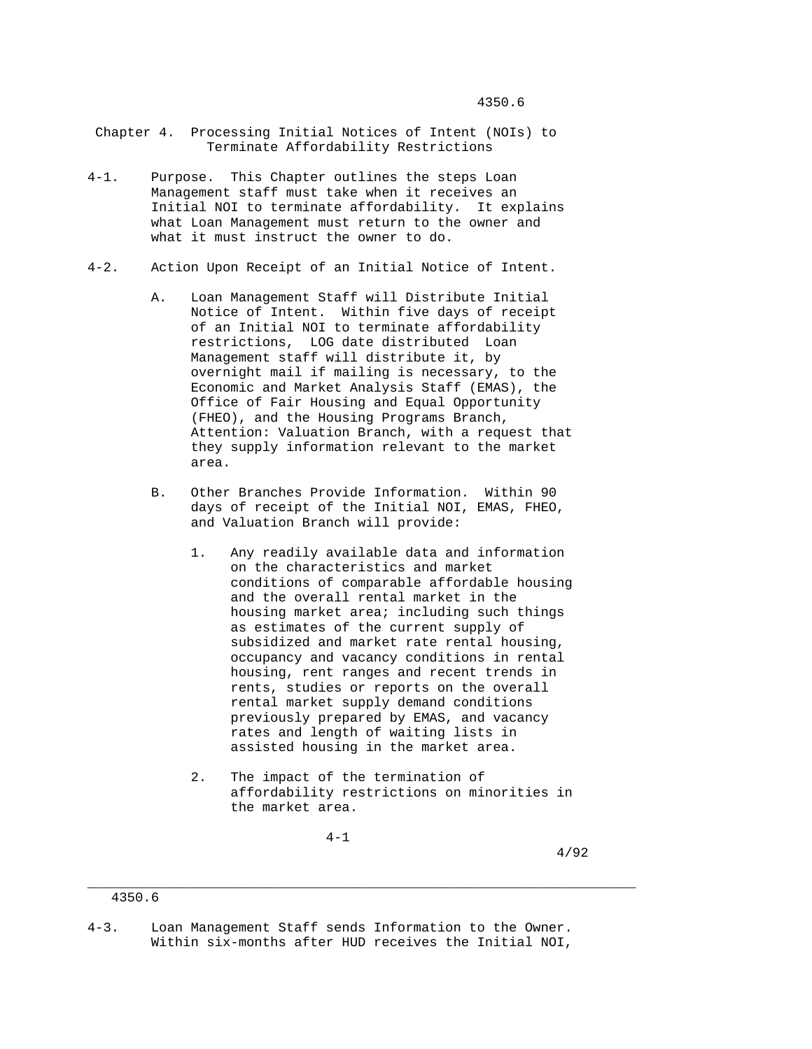- Chapter 4. Processing Initial Notices of Intent (NOIs) to Terminate Affordability Restrictions
- 4-1. Purpose. This Chapter outlines the steps Loan Management staff must take when it receives an Initial NOI to terminate affordability. It explains what Loan Management must return to the owner and what it must instruct the owner to do.
- 4-2. Action Upon Receipt of an Initial Notice of Intent.
	- A. Loan Management Staff will Distribute Initial Notice of Intent. Within five days of receipt of an Initial NOI to terminate affordability restrictions, LOG date distributed Loan Management staff will distribute it, by overnight mail if mailing is necessary, to the Economic and Market Analysis Staff (EMAS), the Office of Fair Housing and Equal Opportunity (FHEO), and the Housing Programs Branch, Attention: Valuation Branch, with a request that they supply information relevant to the market area.
	- B. Other Branches Provide Information. Within 90 days of receipt of the Initial NOI, EMAS, FHEO, and Valuation Branch will provide:
		- 1. Any readily available data and information on the characteristics and market conditions of comparable affordable housing and the overall rental market in the housing market area; including such things as estimates of the current supply of subsidized and market rate rental housing, occupancy and vacancy conditions in rental housing, rent ranges and recent trends in rents, studies or reports on the overall rental market supply demand conditions previously prepared by EMAS, and vacancy rates and length of waiting lists in assisted housing in the market area.
		- 2. The impact of the termination of affordability restrictions on minorities in the market area.

\_\_\_\_\_\_\_\_\_\_\_\_\_\_\_\_\_\_\_\_\_\_\_\_\_\_\_\_\_\_\_\_\_\_\_\_\_\_\_\_\_\_\_\_\_\_\_\_\_\_\_\_\_\_\_\_\_\_\_\_\_\_\_\_\_\_\_\_\_

4-1

4/92

 <sup>4350.6</sup> 

<sup>4-3.</sup> Loan Management Staff sends Information to the Owner. Within six-months after HUD receives the Initial NOI,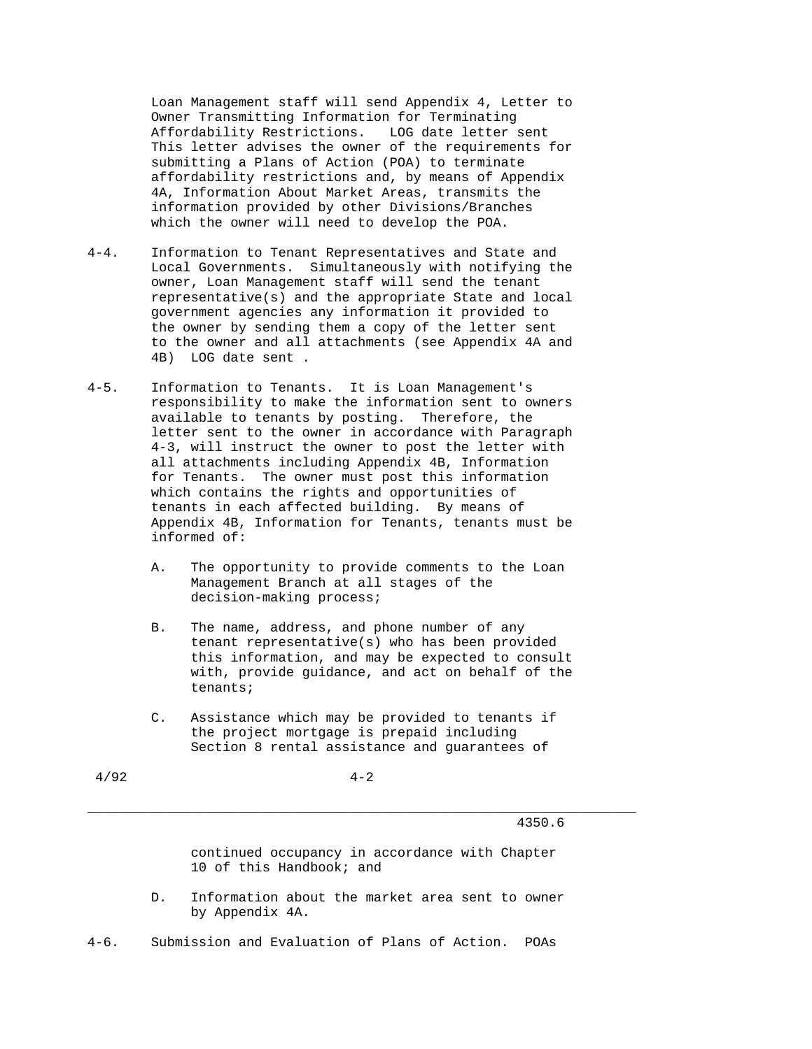Loan Management staff will send Appendix 4, Letter to Owner Transmitting Information for Terminating Affordability Restrictions. LOG date letter sent This letter advises the owner of the requirements for submitting a Plans of Action (POA) to terminate affordability restrictions and, by means of Appendix 4A, Information About Market Areas, transmits the information provided by other Divisions/Branches which the owner will need to develop the POA.

- 4-4. Information to Tenant Representatives and State and Local Governments. Simultaneously with notifying the owner, Loan Management staff will send the tenant representative(s) and the appropriate State and local government agencies any information it provided to the owner by sending them a copy of the letter sent to the owner and all attachments (see Appendix 4A and 4B) LOG date sent .
- 4-5. Information to Tenants. It is Loan Management's responsibility to make the information sent to owners available to tenants by posting. Therefore, the letter sent to the owner in accordance with Paragraph 4-3, will instruct the owner to post the letter with all attachments including Appendix 4B, Information for Tenants. The owner must post this information which contains the rights and opportunities of tenants in each affected building. By means of Appendix 4B, Information for Tenants, tenants must be informed of:
	- A. The opportunity to provide comments to the Loan Management Branch at all stages of the decision-making process;
	- B. The name, address, and phone number of any tenant representative(s) who has been provided this information, and may be expected to consult with, provide guidance, and act on behalf of the tenants;
	- C. Assistance which may be provided to tenants if the project mortgage is prepaid including Section 8 rental assistance and guarantees of

 $4/92$   $4-2$ 

\_\_\_\_\_\_\_\_\_\_\_\_\_\_\_\_\_\_\_\_\_\_\_\_\_\_\_\_\_\_\_\_\_\_\_\_\_\_\_\_\_\_\_\_\_\_\_\_\_\_\_\_\_\_\_\_\_\_\_\_\_\_\_\_\_\_\_\_\_

4350.6

 continued occupancy in accordance with Chapter 10 of this Handbook; and

 D. Information about the market area sent to owner by Appendix 4A.

4-6. Submission and Evaluation of Plans of Action. POAs